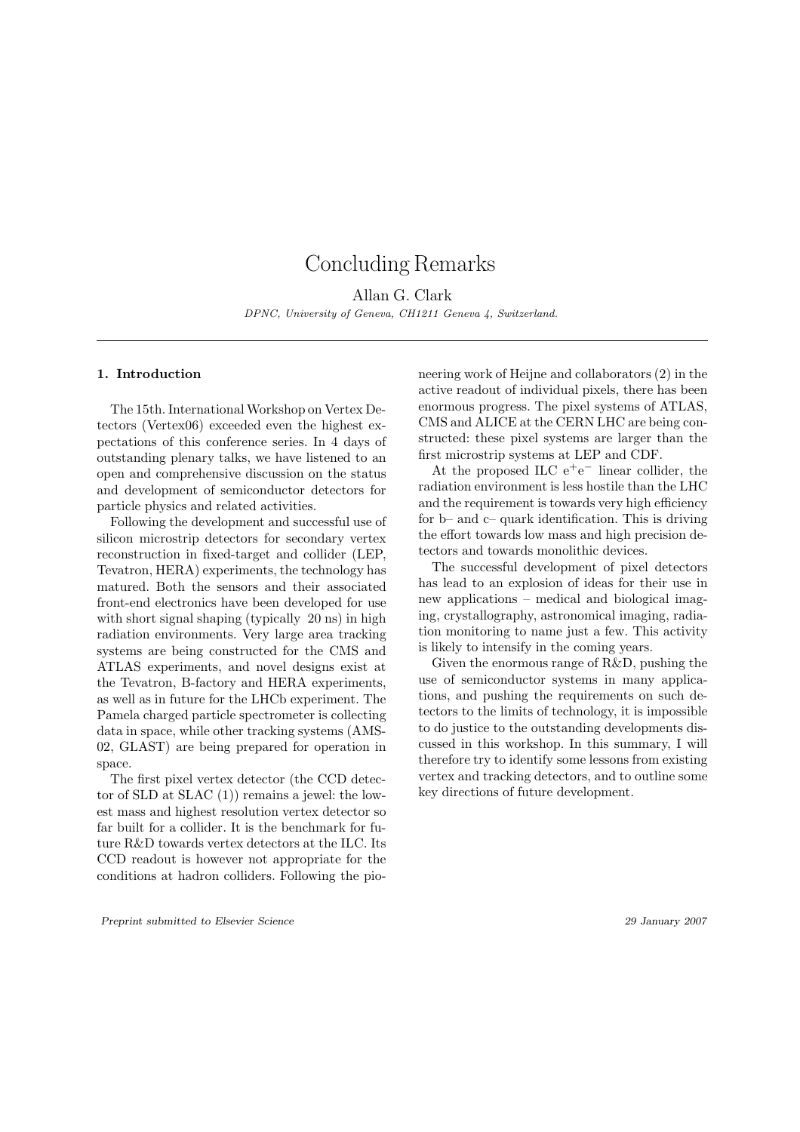# Concluding Remarks

Allan G. Clark DPNC, University of Geneva, CH1211 Geneva 4, Switzerland.

## 1. Introduction

The 15th. International Workshop on Vertex Detectors (Vertex06) exceeded even the highest expectations of this conference series. In 4 days of outstanding plenary talks, we have listened to an open and comprehensive discussion on the status and development of semiconductor detectors for particle physics and related activities.

Following the development and successful use of silicon microstrip detectors for secondary vertex reconstruction in fixed-target and collider (LEP, Tevatron, HERA) experiments, the technology has matured. Both the sensors and their associated front-end electronics have been developed for use with short signal shaping (typically 20 ns) in high radiation environments. Very large area tracking systems are being constructed for the CMS and ATLAS experiments, and novel designs exist at the Tevatron, B-factory and HERA experiments, as well as in future for the LHCb experiment. The Pamela charged particle spectrometer is collecting data in space, while other tracking systems (AMS-02, GLAST) are being prepared for operation in space.

The first pixel vertex detector (the CCD detector of SLD at SLAC (1)) remains a jewel: the lowest mass and highest resolution vertex detector so far built for a collider. It is the benchmark for future R&D towards vertex detectors at the ILC. Its CCD readout is however not appropriate for the conditions at hadron colliders. Following the pioneering work of Heijne and collaborators (2) in the active readout of individual pixels, there has been enormous progress. The pixel systems of ATLAS, CMS and ALICE at the CERN LHC are being constructed: these pixel systems are larger than the first microstrip systems at LEP and CDF.

At the proposed ILC  $e^+e^-$  linear collider, the radiation environment is less hostile than the LHC and the requirement is towards very high efficiency for b– and c– quark identification. This is driving the effort towards low mass and high precision detectors and towards monolithic devices.

The successful development of pixel detectors has lead to an explosion of ideas for their use in new applications – medical and biological imaging, crystallography, astronomical imaging, radiation monitoring to name just a few. This activity is likely to intensify in the coming years.

Given the enormous range of R&D, pushing the use of semiconductor systems in many applications, and pushing the requirements on such detectors to the limits of technology, it is impossible to do justice to the outstanding developments discussed in this workshop. In this summary, I will therefore try to identify some lessons from existing vertex and tracking detectors, and to outline some key directions of future development.

Preprint submitted to Elsevier Science 29 January 2007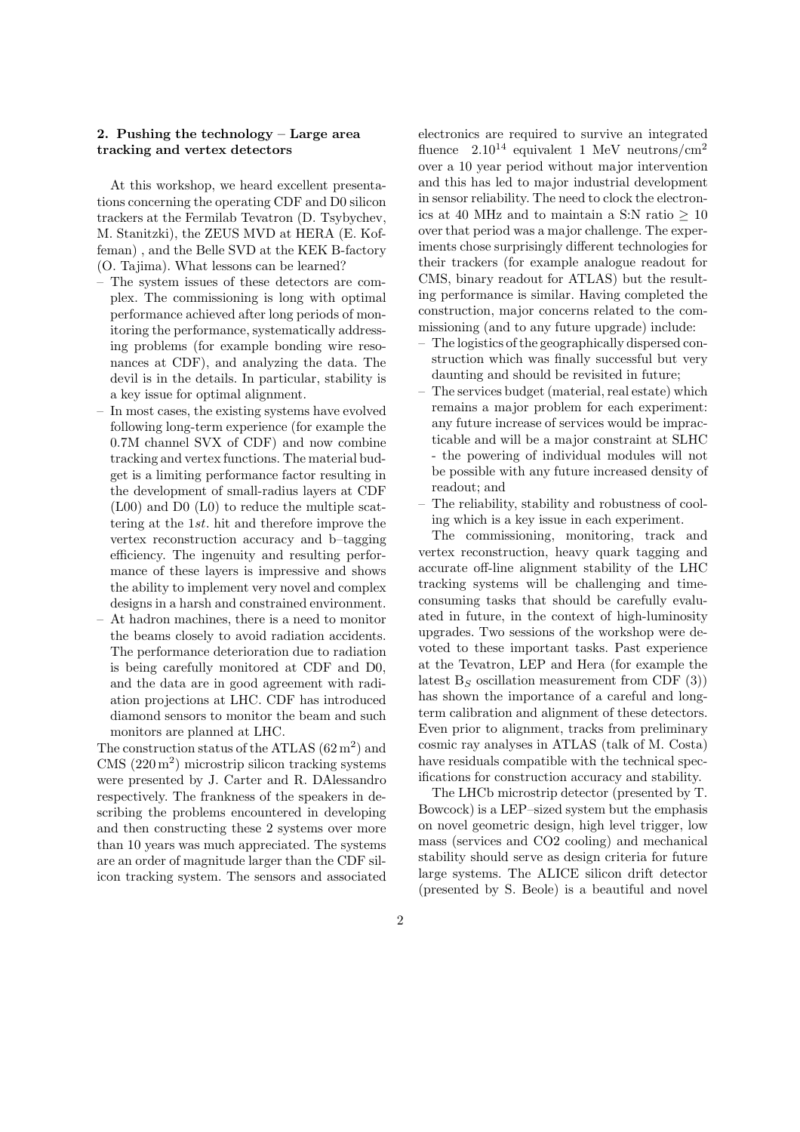#### 2. Pushing the technology – Large area tracking and vertex detectors

At this workshop, we heard excellent presentations concerning the operating CDF and D0 silicon trackers at the Fermilab Tevatron (D. Tsybychev, M. Stanitzki), the ZEUS MVD at HERA (E. Koffeman) , and the Belle SVD at the KEK B-factory (O. Tajima). What lessons can be learned?

- The system issues of these detectors are complex. The commissioning is long with optimal performance achieved after long periods of monitoring the performance, systematically addressing problems (for example bonding wire resonances at CDF), and analyzing the data. The devil is in the details. In particular, stability is a key issue for optimal alignment.
- In most cases, the existing systems have evolved following long-term experience (for example the 0.7M channel SVX of CDF) and now combine tracking and vertex functions. The material budget is a limiting performance factor resulting in the development of small-radius layers at CDF (L00) and D0 (L0) to reduce the multiple scattering at the 1st. hit and therefore improve the vertex reconstruction accuracy and b–tagging efficiency. The ingenuity and resulting performance of these layers is impressive and shows the ability to implement very novel and complex designs in a harsh and constrained environment.
- At hadron machines, there is a need to monitor the beams closely to avoid radiation accidents. The performance deterioration due to radiation is being carefully monitored at CDF and D0, and the data are in good agreement with radiation projections at LHC. CDF has introduced diamond sensors to monitor the beam and such monitors are planned at LHC.

The construction status of the ATLAS  $(62 \,\mathrm{m}^2)$  and  $CMS (220 m<sup>2</sup>)$  microstrip silicon tracking systems were presented by J. Carter and R. DAlessandro respectively. The frankness of the speakers in describing the problems encountered in developing and then constructing these 2 systems over more than 10 years was much appreciated. The systems are an order of magnitude larger than the CDF silicon tracking system. The sensors and associated electronics are required to survive an integrated fluence  $2.10^{14}$  equivalent 1 MeV neutrons/cm<sup>2</sup> over a 10 year period without major intervention and this has led to major industrial development in sensor reliability. The need to clock the electronics at 40 MHz and to maintain a S:N ratio  $> 10$ over that period was a major challenge. The experiments chose surprisingly different technologies for their trackers (for example analogue readout for CMS, binary readout for ATLAS) but the resulting performance is similar. Having completed the construction, major concerns related to the commissioning (and to any future upgrade) include:

- The logistics of the geographically dispersed construction which was finally successful but very daunting and should be revisited in future;
- The services budget (material, real estate) which remains a major problem for each experiment: any future increase of services would be impracticable and will be a major constraint at SLHC - the powering of individual modules will not be possible with any future increased density of readout; and
- The reliability, stability and robustness of cooling which is a key issue in each experiment.

The commissioning, monitoring, track and vertex reconstruction, heavy quark tagging and accurate off-line alignment stability of the LHC tracking systems will be challenging and timeconsuming tasks that should be carefully evaluated in future, in the context of high-luminosity upgrades. Two sessions of the workshop were devoted to these important tasks. Past experience at the Tevatron, LEP and Hera (for example the latest  $B<sub>S</sub>$  oscillation measurement from CDF (3)) has shown the importance of a careful and longterm calibration and alignment of these detectors. Even prior to alignment, tracks from preliminary cosmic ray analyses in ATLAS (talk of M. Costa) have residuals compatible with the technical specifications for construction accuracy and stability.

The LHCb microstrip detector (presented by T. Bowcock) is a LEP–sized system but the emphasis on novel geometric design, high level trigger, low mass (services and CO2 cooling) and mechanical stability should serve as design criteria for future large systems. The ALICE silicon drift detector (presented by S. Beole) is a beautiful and novel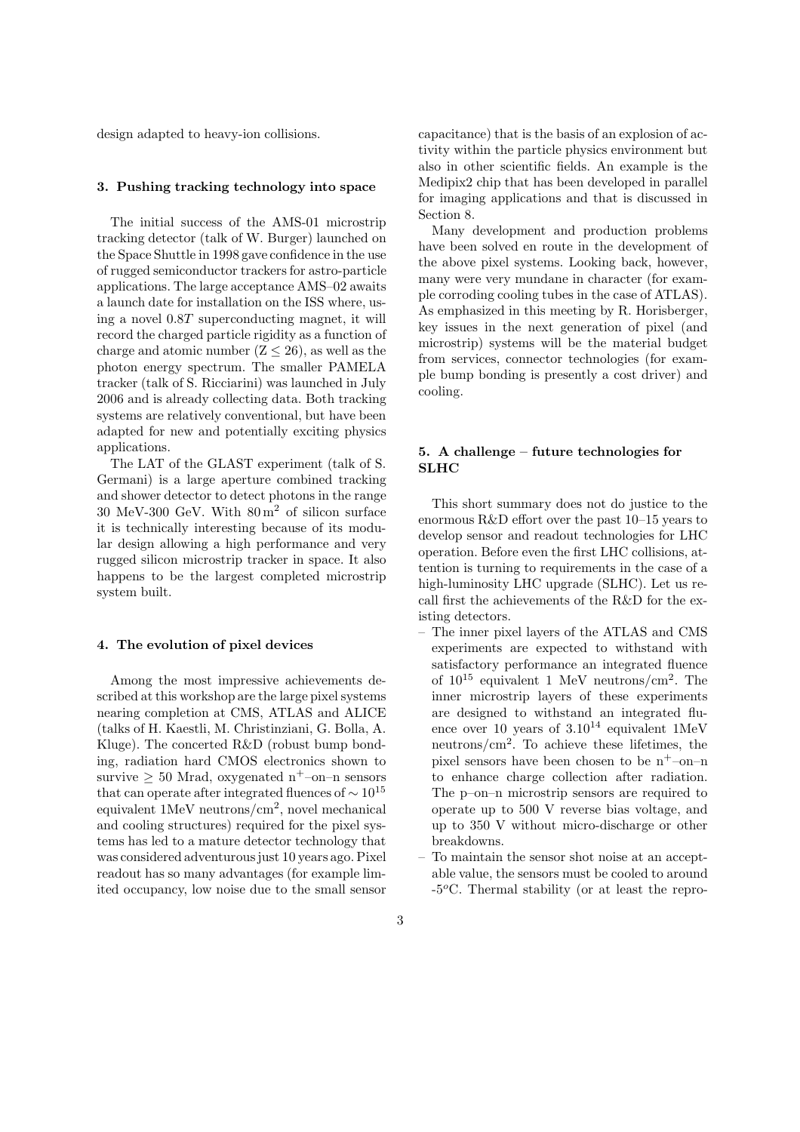design adapted to heavy-ion collisions.

#### 3. Pushing tracking technology into space

The initial success of the AMS-01 microstrip tracking detector (talk of W. Burger) launched on the Space Shuttle in 1998 gave confidence in the use of rugged semiconductor trackers for astro-particle applications. The large acceptance AMS–02 awaits a launch date for installation on the ISS where, using a novel 0.8T superconducting magnet, it will record the charged particle rigidity as a function of charge and atomic number  $(Z < 26)$ , as well as the photon energy spectrum. The smaller PAMELA tracker (talk of S. Ricciarini) was launched in July 2006 and is already collecting data. Both tracking systems are relatively conventional, but have been adapted for new and potentially exciting physics applications.

The LAT of the GLAST experiment (talk of S. Germani) is a large aperture combined tracking and shower detector to detect photons in the range 30 MeV-300 GeV. With  $80 \text{ m}^2$  of silicon surface it is technically interesting because of its modular design allowing a high performance and very rugged silicon microstrip tracker in space. It also happens to be the largest completed microstrip system built.

#### 4. The evolution of pixel devices

Among the most impressive achievements described at this workshop are the large pixel systems nearing completion at CMS, ATLAS and ALICE (talks of H. Kaestli, M. Christinziani, G. Bolla, A. Kluge). The concerted R&D (robust bump bonding, radiation hard CMOS electronics shown to survive  $> 50$  Mrad, oxygenated n<sup>+</sup>-on-n sensors that can operate after integrated fluences of  $\sim 10^{15}$ equivalent 1MeV neutrons/cm<sup>2</sup> , novel mechanical and cooling structures) required for the pixel systems has led to a mature detector technology that was considered adventurous just 10 years ago. Pixel readout has so many advantages (for example limited occupancy, low noise due to the small sensor

capacitance) that is the basis of an explosion of activity within the particle physics environment but also in other scientific fields. An example is the Medipix2 chip that has been developed in parallel for imaging applications and that is discussed in Section 8.

Many development and production problems have been solved en route in the development of the above pixel systems. Looking back, however, many were very mundane in character (for example corroding cooling tubes in the case of ATLAS). As emphasized in this meeting by R. Horisberger, key issues in the next generation of pixel (and microstrip) systems will be the material budget from services, connector technologies (for example bump bonding is presently a cost driver) and cooling.

## 5. A challenge – future technologies for SLHC

This short summary does not do justice to the enormous R&D effort over the past 10–15 years to develop sensor and readout technologies for LHC operation. Before even the first LHC collisions, attention is turning to requirements in the case of a high-luminosity LHC upgrade (SLHC). Let us recall first the achievements of the R&D for the existing detectors.

- The inner pixel layers of the ATLAS and CMS experiments are expected to withstand with satisfactory performance an integrated fluence of  $10^{15}$  equivalent 1 MeV neutrons/cm<sup>2</sup>. The inner microstrip layers of these experiments are designed to withstand an integrated fluence over 10 years of  $3.10^{14}$  equivalent 1MeV neutrons/cm<sup>2</sup> . To achieve these lifetimes, the pixel sensors have been chosen to be  $n^+$ –on–n to enhance charge collection after radiation. The p–on–n microstrip sensors are required to operate up to 500 V reverse bias voltage, and up to 350 V without micro-discharge or other breakdowns.
- To maintain the sensor shot noise at an acceptable value, the sensors must be cooled to around  $-5\textdegree$ C. Thermal stability (or at least the repro-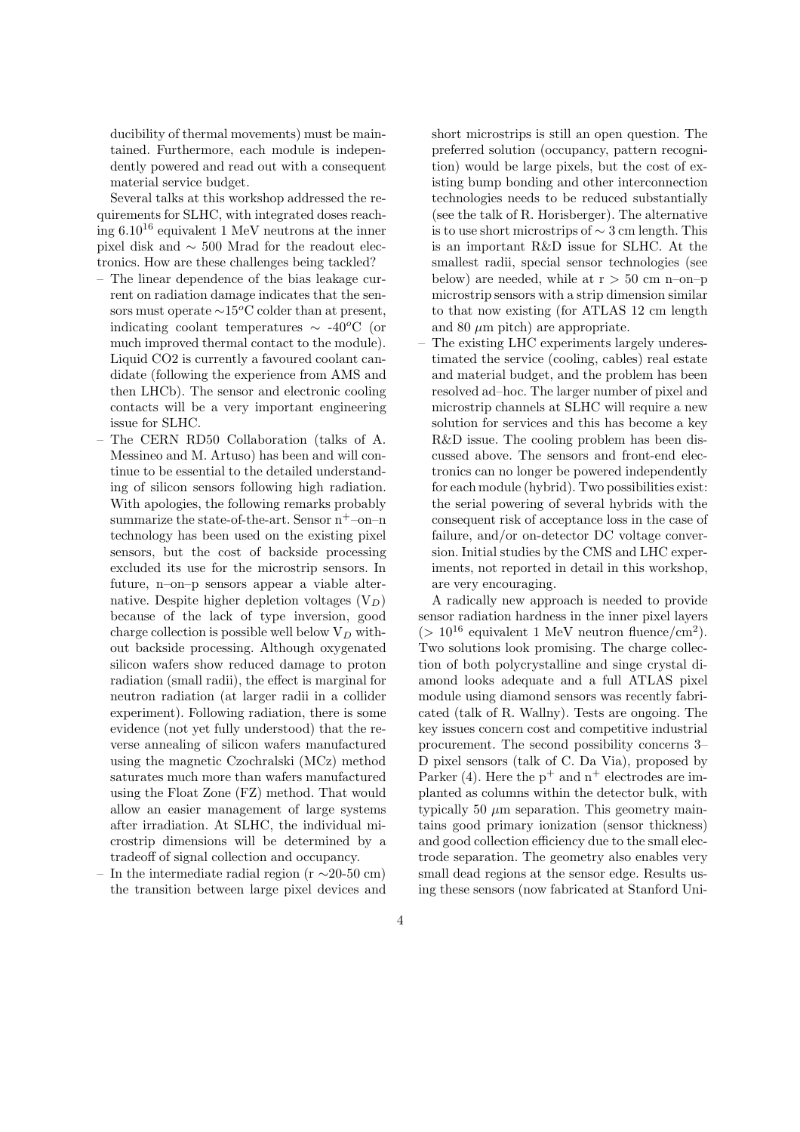ducibility of thermal movements) must be maintained. Furthermore, each module is independently powered and read out with a consequent material service budget.

Several talks at this workshop addressed the requirements for SLHC, with integrated doses reaching  $6.10^{16}$  equivalent 1 MeV neutrons at the inner pixel disk and ∼ 500 Mrad for the readout electronics. How are these challenges being tackled?

- The linear dependence of the bias leakage current on radiation damage indicates that the sensors must operate  $\sim$ 15<sup>o</sup>C colder than at present, indicating coolant temperatures  $\sim$  -40<sup>o</sup>C (or much improved thermal contact to the module). Liquid CO2 is currently a favoured coolant candidate (following the experience from AMS and then LHCb). The sensor and electronic cooling contacts will be a very important engineering issue for SLHC.
- The CERN RD50 Collaboration (talks of A. Messineo and M. Artuso) has been and will continue to be essential to the detailed understanding of silicon sensors following high radiation. With apologies, the following remarks probably summarize the state-of-the-art. Sensor  $n^+$ -on-n technology has been used on the existing pixel sensors, but the cost of backside processing excluded its use for the microstrip sensors. In future, n–on–p sensors appear a viable alternative. Despite higher depletion voltages  $(V_D)$ because of the lack of type inversion, good charge collection is possible well below  $V_D$  without backside processing. Although oxygenated silicon wafers show reduced damage to proton radiation (small radii), the effect is marginal for neutron radiation (at larger radii in a collider experiment). Following radiation, there is some evidence (not yet fully understood) that the reverse annealing of silicon wafers manufactured using the magnetic Czochralski (MCz) method saturates much more than wafers manufactured using the Float Zone (FZ) method. That would allow an easier management of large systems after irradiation. At SLHC, the individual microstrip dimensions will be determined by a tradeoff of signal collection and occupancy.
- In the intermediate radial region ( $r \sim 20-50$  cm) the transition between large pixel devices and

short microstrips is still an open question. The preferred solution (occupancy, pattern recognition) would be large pixels, but the cost of existing bump bonding and other interconnection technologies needs to be reduced substantially (see the talk of R. Horisberger). The alternative is to use short microstrips of ∼ 3 cm length. This is an important R&D issue for SLHC. At the smallest radii, special sensor technologies (see below) are needed, while at  $r > 50$  cm n–on–p microstrip sensors with a strip dimension similar to that now existing (for ATLAS 12 cm length and 80  $\mu$ m pitch) are appropriate.

– The existing LHC experiments largely underestimated the service (cooling, cables) real estate and material budget, and the problem has been resolved ad–hoc. The larger number of pixel and microstrip channels at SLHC will require a new solution for services and this has become a key R&D issue. The cooling problem has been discussed above. The sensors and front-end electronics can no longer be powered independently for each module (hybrid). Two possibilities exist: the serial powering of several hybrids with the consequent risk of acceptance loss in the case of failure, and/or on-detector DC voltage conversion. Initial studies by the CMS and LHC experiments, not reported in detail in this workshop, are very encouraging.

A radically new approach is needed to provide sensor radiation hardness in the inner pixel layers  $(> 10^{16}$  equivalent 1 MeV neutron fluence/cm<sup>2</sup>). Two solutions look promising. The charge collection of both polycrystalline and singe crystal diamond looks adequate and a full ATLAS pixel module using diamond sensors was recently fabricated (talk of R. Wallny). Tests are ongoing. The key issues concern cost and competitive industrial procurement. The second possibility concerns 3– D pixel sensors (talk of C. Da Via), proposed by Parker (4). Here the  $p^+$  and  $n^+$  electrodes are implanted as columns within the detector bulk, with typically 50  $\mu$ m separation. This geometry maintains good primary ionization (sensor thickness) and good collection efficiency due to the small electrode separation. The geometry also enables very small dead regions at the sensor edge. Results using these sensors (now fabricated at Stanford Uni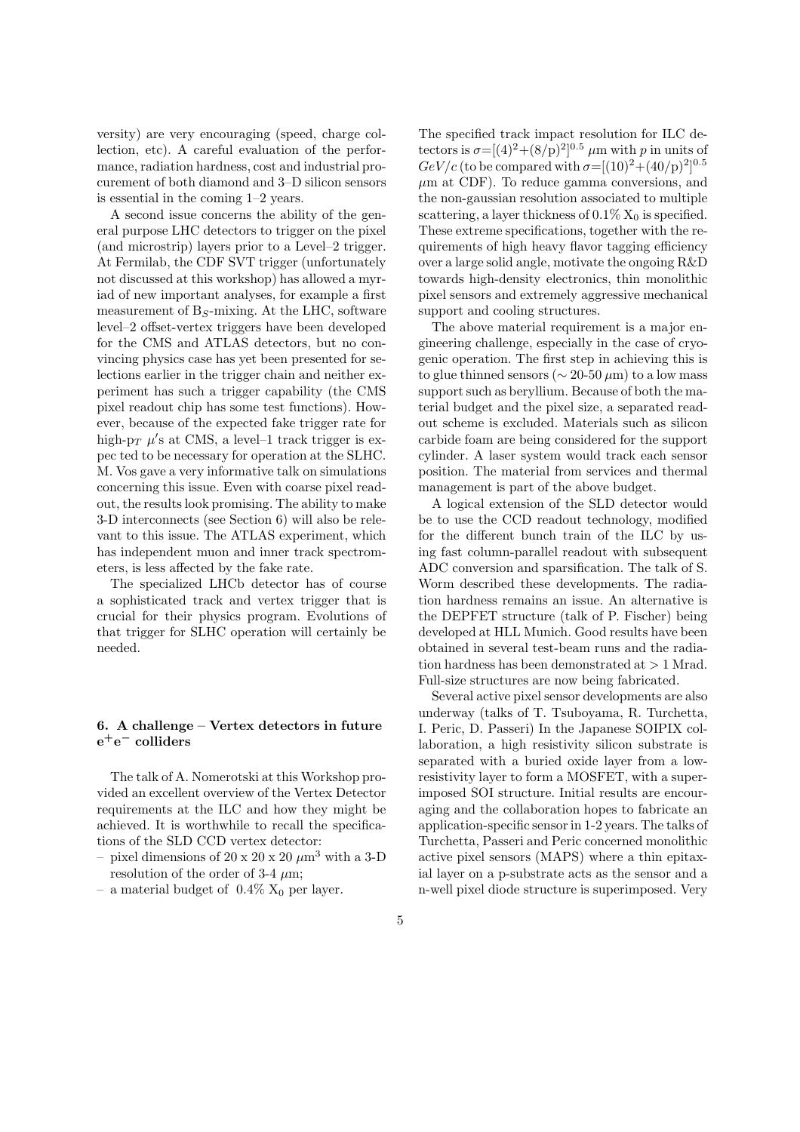versity) are very encouraging (speed, charge collection, etc). A careful evaluation of the performance, radiation hardness, cost and industrial procurement of both diamond and 3–D silicon sensors is essential in the coming 1–2 years.

A second issue concerns the ability of the general purpose LHC detectors to trigger on the pixel (and microstrip) layers prior to a Level–2 trigger. At Fermilab, the CDF SVT trigger (unfortunately not discussed at this workshop) has allowed a myriad of new important analyses, for example a first measurement of  $B<sub>S</sub>$ -mixing. At the LHC, software level–2 offset-vertex triggers have been developed for the CMS and ATLAS detectors, but no convincing physics case has yet been presented for selections earlier in the trigger chain and neither experiment has such a trigger capability (the CMS pixel readout chip has some test functions). However, because of the expected fake trigger rate for high-p<sub>T</sub>  $\mu$ 's at CMS, a level-1 track trigger is expec ted to be necessary for operation at the SLHC. M. Vos gave a very informative talk on simulations concerning this issue. Even with coarse pixel readout, the results look promising. The ability to make 3-D interconnects (see Section 6) will also be relevant to this issue. The ATLAS experiment, which has independent muon and inner track spectrometers, is less affected by the fake rate.

The specialized LHCb detector has of course a sophisticated track and vertex trigger that is crucial for their physics program. Evolutions of that trigger for SLHC operation will certainly be needed.

## 6. A challenge – Vertex detectors in future  $\mathrm{e^{+}e^{-}}$  colliders

The talk of A. Nomerotski at this Workshop provided an excellent overview of the Vertex Detector requirements at the ILC and how they might be achieved. It is worthwhile to recall the specifications of the SLD CCD vertex detector:

- pixel dimensions of 20 x 20 x 20  $\mu$ m<sup>3</sup> with a 3-D resolution of the order of 3-4  $\mu$ m;
- a material budget of  $0.4\%$  X<sub>0</sub> per layer.

The specified track impact resolution for ILC detectors is  $\sigma = [(4)^2 + (8/p)^2]^{0.5}$   $\mu$ m with p in units of  $GeV/c$  (to be compared with  $\sigma=[(10)^2+(40/\mathrm{p})^2]^{0.5}$  $\mu$ m at CDF). To reduce gamma conversions, and the non-gaussian resolution associated to multiple scattering, a layer thickness of  $0.1\%$  X<sub>0</sub> is specified. These extreme specifications, together with the requirements of high heavy flavor tagging efficiency over a large solid angle, motivate the ongoing R&D towards high-density electronics, thin monolithic pixel sensors and extremely aggressive mechanical support and cooling structures.

The above material requirement is a major engineering challenge, especially in the case of cryogenic operation. The first step in achieving this is to glue thinned sensors ( $\sim$  20-50  $\mu$ m) to a low mass support such as beryllium. Because of both the material budget and the pixel size, a separated readout scheme is excluded. Materials such as silicon carbide foam are being considered for the support cylinder. A laser system would track each sensor position. The material from services and thermal management is part of the above budget.

A logical extension of the SLD detector would be to use the CCD readout technology, modified for the different bunch train of the ILC by using fast column-parallel readout with subsequent ADC conversion and sparsification. The talk of S. Worm described these developments. The radiation hardness remains an issue. An alternative is the DEPFET structure (talk of P. Fischer) being developed at HLL Munich. Good results have been obtained in several test-beam runs and the radiation hardness has been demonstrated at > 1 Mrad. Full-size structures are now being fabricated.

Several active pixel sensor developments are also underway (talks of T. Tsuboyama, R. Turchetta, I. Peric, D. Passeri) In the Japanese SOIPIX collaboration, a high resistivity silicon substrate is separated with a buried oxide layer from a lowresistivity layer to form a MOSFET, with a superimposed SOI structure. Initial results are encouraging and the collaboration hopes to fabricate an application-specific sensor in 1-2 years. The talks of Turchetta, Passeri and Peric concerned monolithic active pixel sensors (MAPS) where a thin epitaxial layer on a p-substrate acts as the sensor and a n-well pixel diode structure is superimposed. Very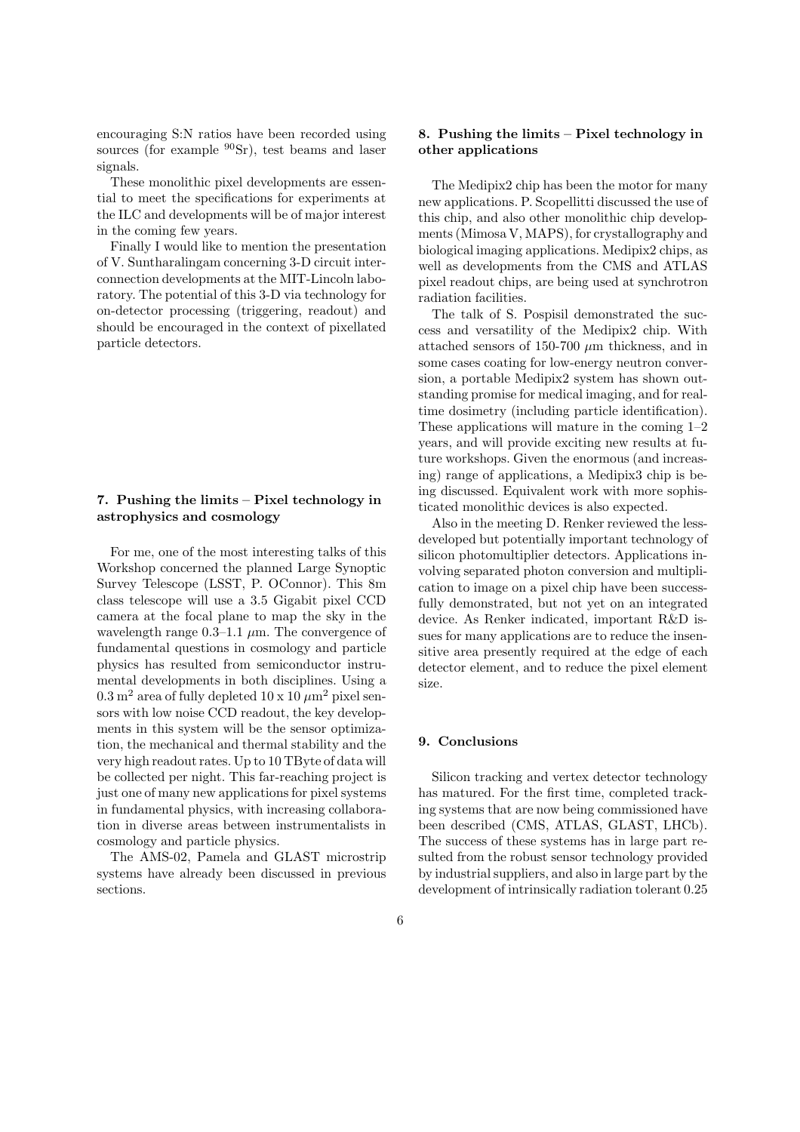encouraging S:N ratios have been recorded using sources (for example  $90Sr$ ), test beams and laser signals.

These monolithic pixel developments are essential to meet the specifications for experiments at the ILC and developments will be of major interest in the coming few years.

Finally I would like to mention the presentation of V. Suntharalingam concerning 3-D circuit interconnection developments at the MIT-Lincoln laboratory. The potential of this 3-D via technology for on-detector processing (triggering, readout) and should be encouraged in the context of pixellated particle detectors.

# 7. Pushing the limits – Pixel technology in astrophysics and cosmology

For me, one of the most interesting talks of this Workshop concerned the planned Large Synoptic Survey Telescope (LSST, P. OConnor). This 8m class telescope will use a 3.5 Gigabit pixel CCD camera at the focal plane to map the sky in the wavelength range  $0.3-1.1 \mu m$ . The convergence of fundamental questions in cosmology and particle physics has resulted from semiconductor instrumental developments in both disciplines. Using a  $0.3 \text{ m}^2$  area of fully depleted  $10 \times 10 \text{ }\mu\text{m}^2$  pixel sensors with low noise CCD readout, the key developments in this system will be the sensor optimization, the mechanical and thermal stability and the very high readout rates. Up to 10 TByte of data will be collected per night. This far-reaching project is just one of many new applications for pixel systems in fundamental physics, with increasing collaboration in diverse areas between instrumentalists in cosmology and particle physics.

The AMS-02, Pamela and GLAST microstrip systems have already been discussed in previous sections.

#### 8. Pushing the limits – Pixel technology in other applications

The Medipix2 chip has been the motor for many new applications. P. Scopellitti discussed the use of this chip, and also other monolithic chip developments (Mimosa V, MAPS), for crystallography and biological imaging applications. Medipix2 chips, as well as developments from the CMS and ATLAS pixel readout chips, are being used at synchrotron radiation facilities.

The talk of S. Pospisil demonstrated the success and versatility of the Medipix2 chip. With attached sensors of 150-700  $\mu$ m thickness, and in some cases coating for low-energy neutron conversion, a portable Medipix2 system has shown outstanding promise for medical imaging, and for realtime dosimetry (including particle identification). These applications will mature in the coming 1–2 years, and will provide exciting new results at future workshops. Given the enormous (and increasing) range of applications, a Medipix3 chip is being discussed. Equivalent work with more sophisticated monolithic devices is also expected.

Also in the meeting D. Renker reviewed the lessdeveloped but potentially important technology of silicon photomultiplier detectors. Applications involving separated photon conversion and multiplication to image on a pixel chip have been successfully demonstrated, but not yet on an integrated device. As Renker indicated, important R&D issues for many applications are to reduce the insensitive area presently required at the edge of each detector element, and to reduce the pixel element size.

#### 9. Conclusions

Silicon tracking and vertex detector technology has matured. For the first time, completed tracking systems that are now being commissioned have been described (CMS, ATLAS, GLAST, LHCb). The success of these systems has in large part resulted from the robust sensor technology provided by industrial suppliers, and also in large part by the development of intrinsically radiation tolerant 0.25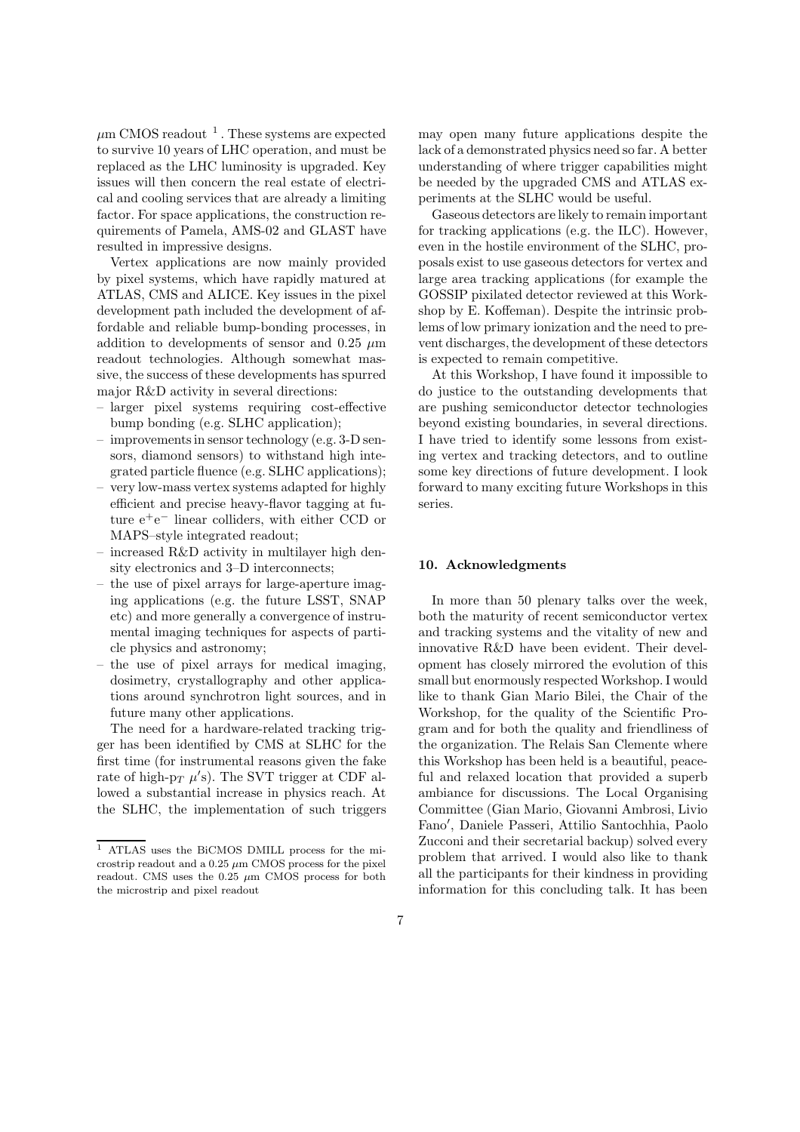$\mu$ m CMOS readout <sup>1</sup>. These systems are expected to survive 10 years of LHC operation, and must be replaced as the LHC luminosity is upgraded. Key issues will then concern the real estate of electrical and cooling services that are already a limiting factor. For space applications, the construction requirements of Pamela, AMS-02 and GLAST have resulted in impressive designs.

Vertex applications are now mainly provided by pixel systems, which have rapidly matured at ATLAS, CMS and ALICE. Key issues in the pixel development path included the development of affordable and reliable bump-bonding processes, in addition to developments of sensor and 0.25  $\mu$ m readout technologies. Although somewhat massive, the success of these developments has spurred major R&D activity in several directions:

- larger pixel systems requiring cost-effective bump bonding (e.g. SLHC application);
- improvements in sensor technology (e.g. 3-D sensors, diamond sensors) to withstand high integrated particle fluence (e.g. SLHC applications);
- very low-mass vertex systems adapted for highly efficient and precise heavy-flavor tagging at future e<sup>+</sup>e <sup>−</sup> linear colliders, with either CCD or MAPS–style integrated readout;
- increased R&D activity in multilayer high density electronics and 3–D interconnects;
- the use of pixel arrays for large-aperture imaging applications (e.g. the future LSST, SNAP etc) and more generally a convergence of instrumental imaging techniques for aspects of particle physics and astronomy;
- the use of pixel arrays for medical imaging, dosimetry, crystallography and other applications around synchrotron light sources, and in future many other applications.

The need for a hardware-related tracking trigger has been identified by CMS at SLHC for the first time (for instrumental reasons given the fake rate of high-p<sub>T</sub>  $\mu$ 's). The SVT trigger at CDF allowed a substantial increase in physics reach. At the SLHC, the implementation of such triggers may open many future applications despite the lack of a demonstrated physics need so far. A better understanding of where trigger capabilities might be needed by the upgraded CMS and ATLAS experiments at the SLHC would be useful.

Gaseous detectors are likely to remain important for tracking applications (e.g. the ILC). However, even in the hostile environment of the SLHC, proposals exist to use gaseous detectors for vertex and large area tracking applications (for example the GOSSIP pixilated detector reviewed at this Workshop by E. Koffeman). Despite the intrinsic problems of low primary ionization and the need to prevent discharges, the development of these detectors is expected to remain competitive.

At this Workshop, I have found it impossible to do justice to the outstanding developments that are pushing semiconductor detector technologies beyond existing boundaries, in several directions. I have tried to identify some lessons from existing vertex and tracking detectors, and to outline some key directions of future development. I look forward to many exciting future Workshops in this series.

#### 10. Acknowledgments

In more than 50 plenary talks over the week, both the maturity of recent semiconductor vertex and tracking systems and the vitality of new and innovative R&D have been evident. Their development has closely mirrored the evolution of this small but enormously respected Workshop. I would like to thank Gian Mario Bilei, the Chair of the Workshop, for the quality of the Scientific Program and for both the quality and friendliness of the organization. The Relais San Clemente where this Workshop has been held is a beautiful, peaceful and relaxed location that provided a superb ambiance for discussions. The Local Organising Committee (Gian Mario, Giovanni Ambrosi, Livio Fano′ , Daniele Passeri, Attilio Santochhia, Paolo Zucconi and their secretarial backup) solved every problem that arrived. I would also like to thank all the participants for their kindness in providing information for this concluding talk. It has been

<sup>1</sup> ATLAS uses the BiCMOS DMILL process for the microstrip readout and a  $0.25 \mu m$  CMOS process for the pixel readout. CMS uses the 0.25  $\mu \text{m}$  CMOS process for both the microstrip and pixel readout